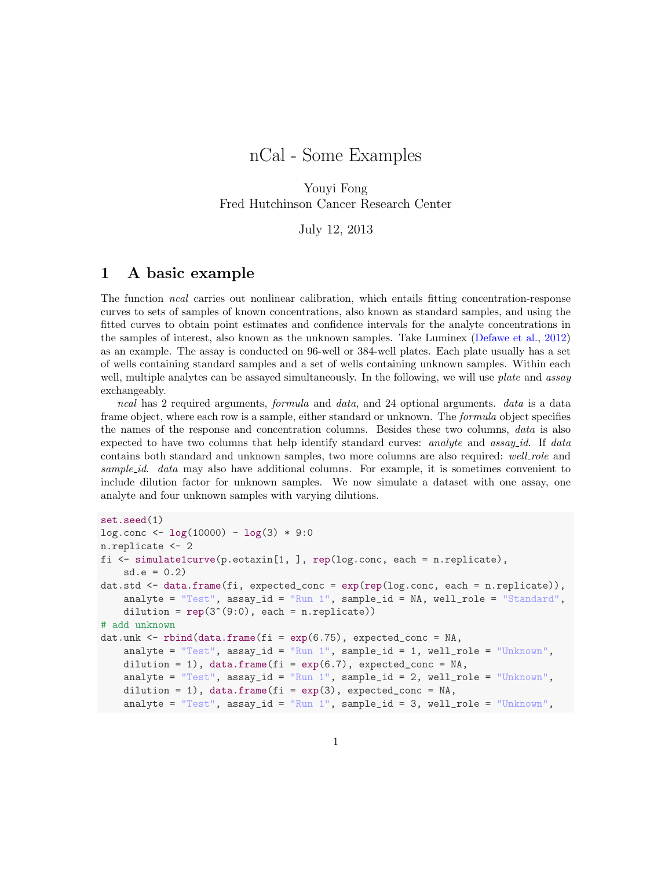# nCal - Some Examples

Youyi Fong Fred Hutchinson Cancer Research Center

July 12, 2013

### 1 A basic example

The function ncal carries out nonlinear calibration, which entails fitting concentration-response curves to sets of samples of known concentrations, also known as standard samples, and using the fitted curves to obtain point estimates and confidence intervals for the analyte concentrations in the samples of interest, also known as the unknown samples. Take Luminex [\(Defawe et al.,](#page-6-0) [2012\)](#page-6-0) as an example. The assay is conducted on 96-well or 384-well plates. Each plate usually has a set of wells containing standard samples and a set of wells containing unknown samples. Within each well, multiple analytes can be assayed simultaneously. In the following, we will use *plate* and *assay* exchangeably.

ncal has 2 required arguments, formula and data, and 24 optional arguments. data is a data frame object, where each row is a sample, either standard or unknown. The *formula* object specifies the names of the response and concentration columns. Besides these two columns, data is also expected to have two columns that help identify standard curves: analyte and assay id. If data contains both standard and unknown samples, two more columns are also required: well-role and sample id. data may also have additional columns. For example, it is sometimes convenient to include dilution factor for unknown samples. We now simulate a dataset with one assay, one analyte and four unknown samples with varying dilutions.

```
set.seed(1)
log.conc \leftarrow log(10000) - log(3) * 9:0n.replicate <- 2
fi \leq simulate1curve(p.eotaxin[1, ], rep(log.conc, each = n.replicate),
   sd.e = 0.2dat.std <- data.frame(fi, expected_conc = exp(rep(log.conc, each = n.replicate)),
   analyte = "Test", assay_id = "Run 1", sample_id = NA, well\_role = "Standard",dilution = rep(3^*(9:0), each = n.replicate)# add unknown
dat.unk \le rbind(data.frame(fi = exp(6.75), expected_conc = NA,
   analyte = Test'', assay_id = TRun 1'', sample_id = 1, well_role = TUnknown'',
   dilution = 1), data.frame(fi = exp(6.7), expected_conc = NA,
   analyte = "Test", assay_id = "Run 1", sample_id = 2, well_role = "Unknown",
   dilution = 1), data.frame(fi = exp(3), expected_conc = NA,
   analyte = "Test", assay_id = "Run 1", sample_id = 3, well_role = "Unknown",
```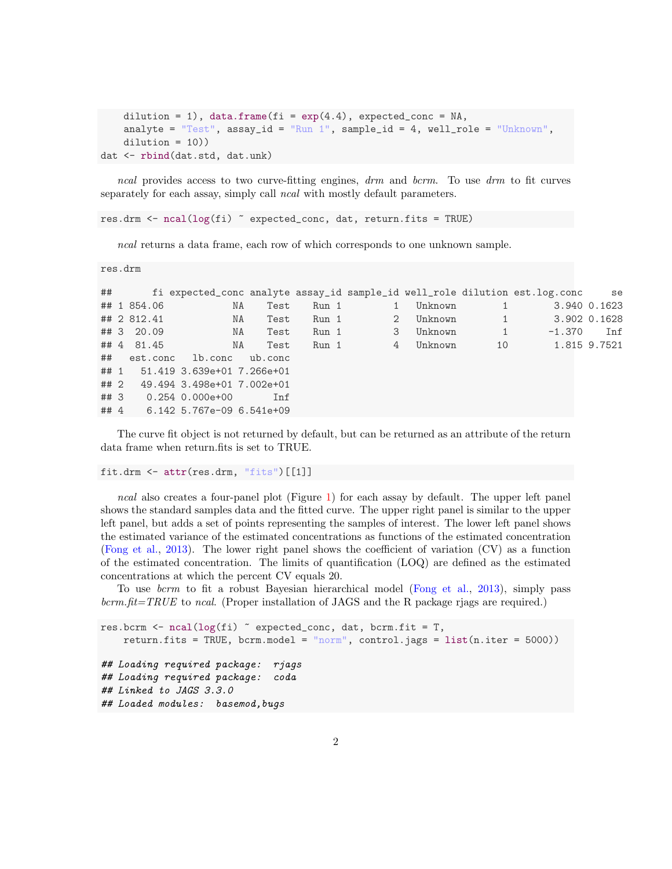```
dilution = 1), data.frame(fi = exp(4.4), expected_conc = NA,
   analyte = "Test", assay_id = "Run 1", sample_id = 4, well_role = "Unknown",
   dilution = 10)dat <- rbind(dat.std, dat.unk)
```
ncal provides access to two curve-fitting engines, drm and bcrm. To use drm to fit curves separately for each assay, simply call *ncal* with mostly default parameters.

res.drm <- ncal(log(fi) ~ expected\_conc, dat, return.fits = TRUE)

ncal returns a data frame, each row of which corresponds to one unknown sample.

```
res.drm
```

```
## fi expected_conc analyte assay_id sample_id well_role dilution est.log.conc se
## 1 854.06 NA Test Run 1 1 Unknown 1 3.940 0.1623
## 2 812.41 NA Test Run 1 2 Unknown 1 3.902 0.1628
## 3 20.09 NA Test Run 1 3 Unknown 1 -1.370 Inf
## 4 81.45 NA Test Run 1 4 Unknown 10 1.815 9.7521
## est.conc lb.conc ub.conc
## 1 51.419 3.639e+01 7.266e+01
## 2 49.494 3.498e+01 7.002e+01
## 3 0.254 0.000e+00 Inf
## 4 6.142 5.767e-09 6.541e+09
```
The curve fit object is not returned by default, but can be returned as an attribute of the return data frame when return.fits is set to TRUE.

fit.drm <- attr(res.drm, "fits")[[1]]

ncal also creates a four-panel plot (Figure [1\)](#page-2-0) for each assay by default. The upper left panel shows the standard samples data and the fitted curve. The upper right panel is similar to the upper left panel, but adds a set of points representing the samples of interest. The lower left panel shows the estimated variance of the estimated concentrations as functions of the estimated concentration [\(Fong et al.,](#page-6-1) [2013\)](#page-6-1). The lower right panel shows the coefficient of variation (CV) as a function of the estimated concentration. The limits of quantification (LOQ) are defined as the estimated concentrations at which the percent CV equals 20.

To use bcrm to fit a robust Bayesian hierarchical model [\(Fong et al.,](#page-6-1) [2013\)](#page-6-1), simply pass  $bcrm.fit=TRUE$  to ncal. (Proper installation of JAGS and the R package rjags are required.)

```
res.bcrm \leq ncal(log(fi) \sim expected_conc, dat, bcrm.fit = T,
   return.fits = TRUE, bcrm.model = "norm", control.jags = list(n.iter = 5000))## Loading required package: rjags
## Loading required package: coda
## Linked to JAGS 3.3.0
## Loaded modules: basemod,bugs
```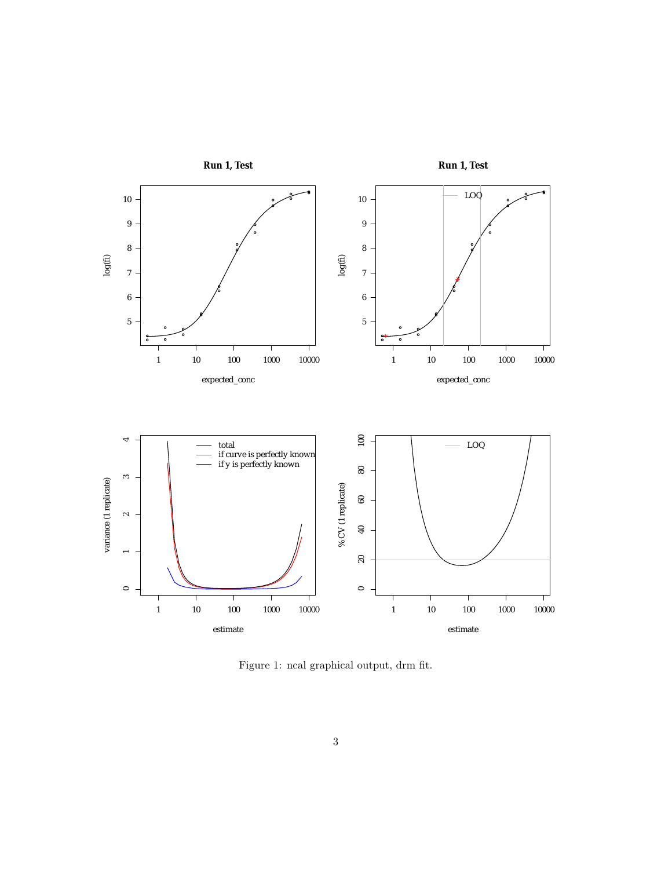

<span id="page-2-0"></span>Figure 1: ncal graphical output, drm fit.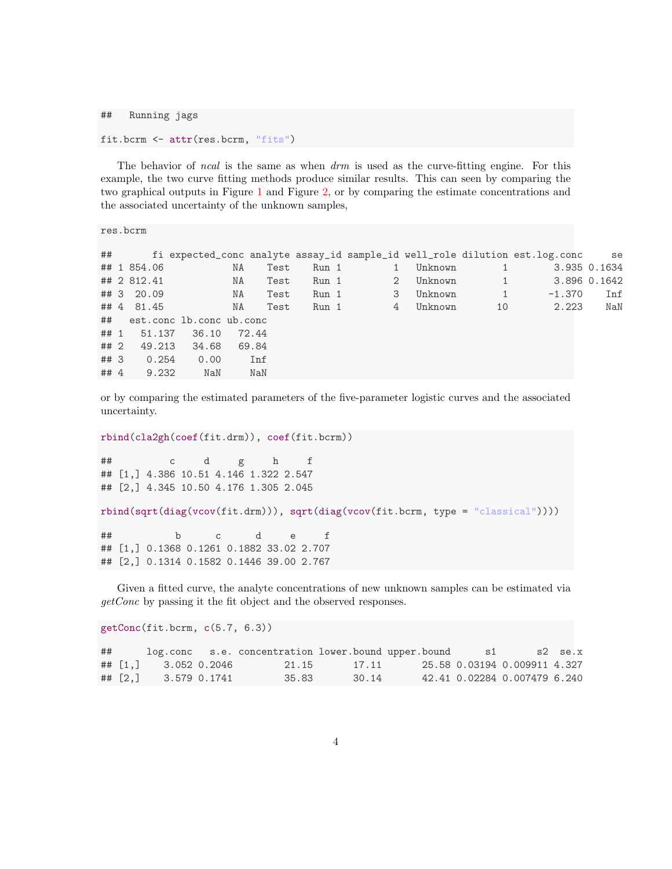```
## Running jags
```

```
fit.bcrm <- attr(res.bcrm, "fits")
```
The behavior of *ncal* is the same as when  $d$ *rm* is used as the curve-fitting engine. For this example, the two curve fitting methods produce similar results. This can seen by comparing the two graphical outputs in Figure [1](#page-2-0) and Figure [2,](#page-4-0) or by comparing the estimate concentrations and the associated uncertainty of the unknown samples,

res.bcrm

| ##   |                             |       |       |      |       |                |         |                             | fi expected_conc analyte assay_id sample_id well_role dilution est.log.conc se |              |
|------|-----------------------------|-------|-------|------|-------|----------------|---------|-----------------------------|--------------------------------------------------------------------------------|--------------|
|      | ## 1 854.06                 |       | ΝA    | Test | Run 1 | $\mathbf{1}$   | Unknown | 1 <sup>7</sup>              |                                                                                | 3.935 0.1634 |
|      | ## 2 812.41                 |       | NA    | Test | Run 1 | $\overline{2}$ | Unknown |                             | 1 3.896 0.1642                                                                 |              |
|      | ## 3 20.09                  |       | NA    | Test | Run 1 | 3              | Unknown | $\sim$ $\sim$ $\sim$ $\sim$ | $-1.370$                                                                       | Inf          |
|      | ## 4 81.45                  |       | NA    | Test | Run 1 | 4              | Unknown | 10                          | 2.223                                                                          | NaN          |
|      | ## est.conc lb.conc ub.conc |       |       |      |       |                |         |                             |                                                                                |              |
|      | ## 1 51.137                 | 36.10 | 72.44 |      |       |                |         |                             |                                                                                |              |
| ## 2 | 49.213                      | 34.68 | 69.84 |      |       |                |         |                             |                                                                                |              |
| ## 3 | 0.254                       | 0.00  |       | Inf  |       |                |         |                             |                                                                                |              |
| ## 4 | 9.232                       | NaN   |       | NaN  |       |                |         |                             |                                                                                |              |

or by comparing the estimated parameters of the five-parameter logistic curves and the associated uncertainty.

```
rbind(cla2gh(coef(fit.drm)), coef(fit.bcrm))
```
## c d g h f ## [1,] 4.386 10.51 4.146 1.322 2.547 ## [2,] 4.345 10.50 4.176 1.305 2.045

```
rbind(sqrt(diag(vcov(fit.drm))), sqrt(diag(vcov(fit.bcrm, type = "classical"))))
```
## b c d e f ## [1,] 0.1368 0.1261 0.1882 33.02 2.707 ## [2,] 0.1314 0.1582 0.1446 39.00 2.767

Given a fitted curve, the analyte concentrations of new unknown samples can be estimated via getConc by passing it the fit object and the observed responses.

getConc(fit.bcrm, c(5.7, 6.3))

| ## |                                            | log.conc s.e. concentration lower.bound upper.bound |       | S1 |                              | s2 se.x |
|----|--------------------------------------------|-----------------------------------------------------|-------|----|------------------------------|---------|
|    | $\#$ $\#$ $\lceil 1.1 \rceil$ 3.052 0.2046 | 21.15                                               | 17.11 |    | 25.58 0.03194 0.009911 4.327 |         |
|    | ## [2,] 3.579 0.1741                       | 35.83                                               | 30.14 |    | 42.41 0.02284 0.007479 6.240 |         |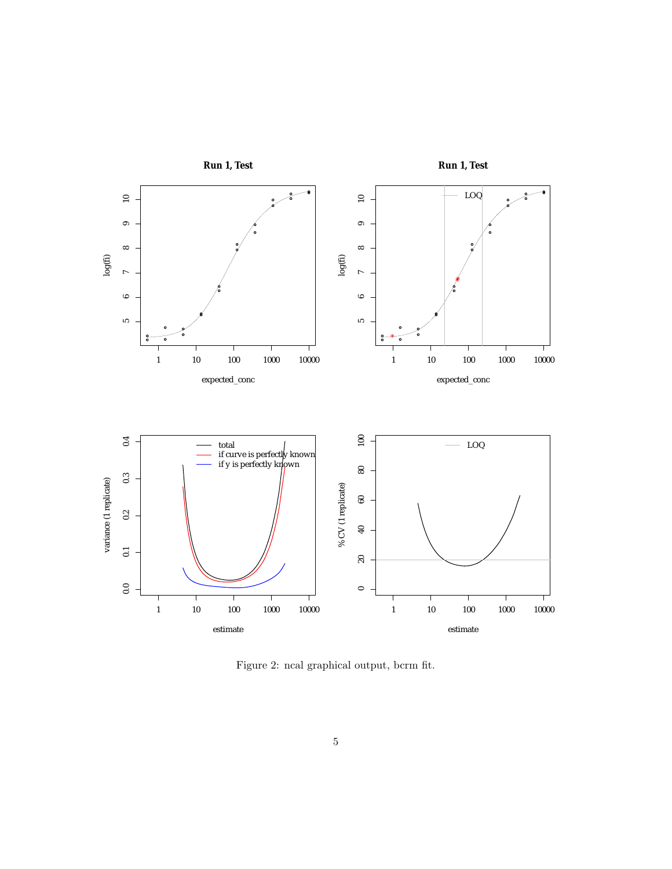

<span id="page-4-0"></span>Figure 2: ncal graphical output, bcrm fit.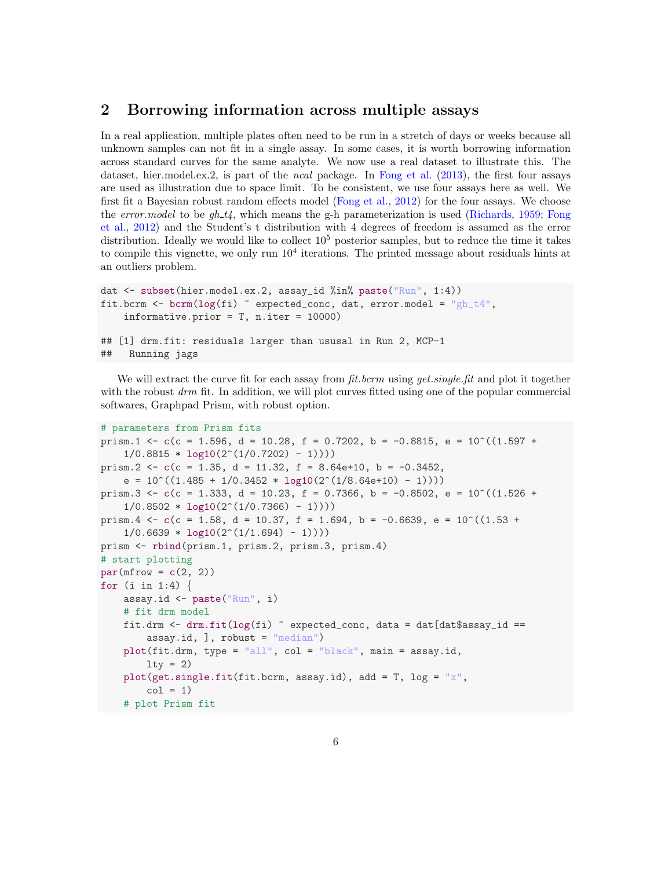#### 2 Borrowing information across multiple assays

In a real application, multiple plates often need to be run in a stretch of days or weeks because all unknown samples can not fit in a single assay. In some cases, it is worth borrowing information across standard curves for the same analyte. We now use a real dataset to illustrate this. The dataset, hier.model.ex.2, is part of the ncal package. In [Fong et al.](#page-6-1) [\(2013\)](#page-6-1), the first four assays are used as illustration due to space limit. To be consistent, we use four assays here as well. We first fit a Bayesian robust random effects model [\(Fong et al.,](#page-6-2) [2012\)](#page-6-2) for the four assays. We choose the error.model to be  $gh_t t$ , which means the g-h parameterization is used [\(Richards,](#page-6-3) [1959;](#page-6-3) [Fong](#page-6-2) [et al.,](#page-6-2) [2012\)](#page-6-2) and the Student's t distribution with 4 degrees of freedom is assumed as the error distribution. Ideally we would like to collect  $10<sup>5</sup>$  posterior samples, but to reduce the time it takes to compile this vignette, we only run  $10<sup>4</sup>$  iterations. The printed message about residuals hints at an outliers problem.

```
dat <- subset(hier.model.ex.2, assay_id %in% paste("Run", 1:4))
fit.bcrm <- bcrm(log(f_i) \tilde{ } expected_conc, dat, error.model = "gh_t4",
    informative.prior = T, n.iter = 10000)
## [1] drm.fit: residuals larger than ususal in Run 2, MCP-1
## Running jags
```
We will extract the curve fit for each assay from *fit.bcrm* using *get.single.fit* and plot it together with the robust  $d\tau m$  fit. In addition, we will plot curves fitted using one of the popular commercial softwares, Graphpad Prism, with robust option.

```
# parameters from Prism fits
prism.1 <- c(c = 1.596, d = 10.28, f = 0.7202, b = -0.8815, e = 10^{\circ}((1.597 +
    1/0.8815 * log10(2^{(1/0.7202) - 1)}prism.2 \leftarrow c(c = 1.35, d = 11.32, f = 8.64e+10, b = -0.3452,
    e = 10^((1.485 + 1/0.3452 * log10(2^*(1/8.64e+10) - 1))))prism.3 \leq c(c = 1.333, d = 10.23, f = 0.7366, b = -0.8502, e = 10^((1.526 +
    1/0.8502 * log10(2^(1/0.7366) - 1))))prism.4 \leq - c(c = 1.58, d = 10.37, f = 1.694, b = -0.6639, e = 10^((1.53 +
    1/0.6639 * log10(2^(1/1.694) - 1))))prism <- rbind(prism.1, prism.2, prism.3, prism.4)
# start plotting
par(mfrow = c(2, 2))for (i in 1:4) \{assay.id <- paste("Run", i)
    # fit drm model
    fit.drm \le drm.fit(log(fi) \degree expected_conc, data = dat[dat$assay_id ==
        assay.id, ], robust = "median")plot(fit.drm, type = "all", col = "black", main = assay.id,
        lty = 2)plot(get.single.fit(fit.bcrm, assay.id), add = T, log = "x",
        col = 1)# plot Prism fit
```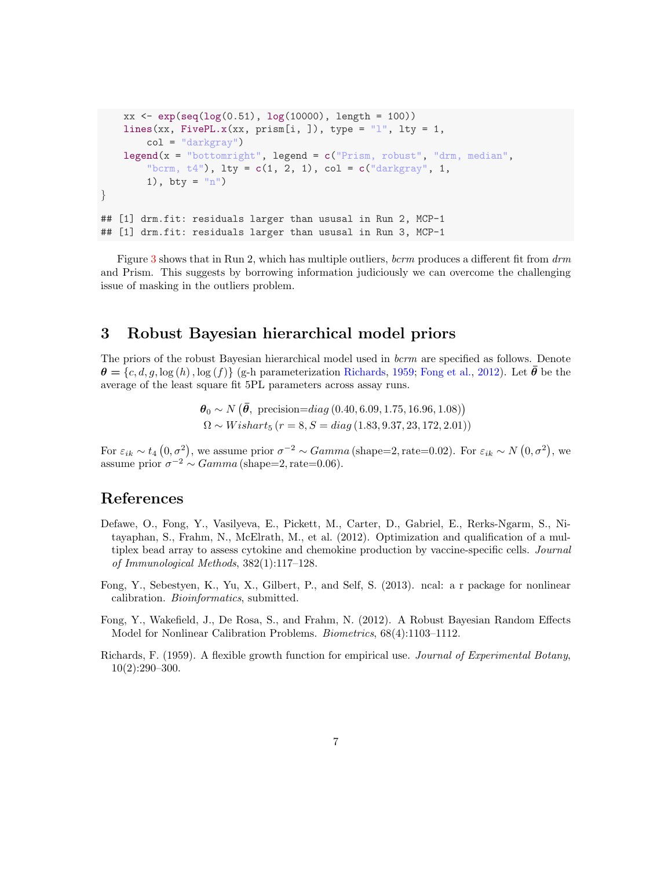```
xx \leftarrow \exp(\sec(10g(0.51), \, \log(10000), \, \text{length} = 100))lines(xx, FivePL.x(xx, prism[i, ]), type = "l", lty = 1,
        col = "darkgray"lepend(x = "bottomright", legend = c("Prism, robust", "drm, median","bcrm, t4"), lty = c(1, 2, 1), col = c("darkgray", 1,1), bty = "n")}
## [1] drm.fit: residuals larger than ususal in Run 2, MCP-1
## [1] drm.fit: residuals larger than ususal in Run 3, MCP-1
```
Figure [3](#page-7-0) shows that in Run 2, which has multiple outliers, bcrm produces a different fit from  $d$ rm and Prism. This suggests by borrowing information judiciously we can overcome the challenging issue of masking in the outliers problem.

## 3 Robust Bayesian hierarchical model priors

The priors of the robust Bayesian hierarchical model used in *bcrm* are specified as follows. Denote  $\theta = \{c, d, g, \log(h), \log(f)\}\$ (g-h parameterization [Richards,](#page-6-3) [1959;](#page-6-3) [Fong et al.,](#page-6-2) [2012\)](#page-6-2). Let  $\bar{\theta}$  be the average of the least square fit 5PL parameters across assay runs.

> $\theta_0 \sim N(\bar{\theta}, \text{ precision} = diag(0.40, 6.09, 1.75, 16.96, 1.08))$  $\Omega \sim Wishart_5$   $(r = 8, S = diag(1.83, 9.37, 23, 172, 2.01))$

For  $\varepsilon_{ik} \sim t_4$   $(0, \sigma^2)$ , we assume prior  $\sigma^{-2} \sim Gamma$  (shape=2, rate=0.02). For  $\varepsilon_{ik} \sim N$   $(0, \sigma^2)$ , we assume prior  $\sigma^{-2} \sim Gamma$  (shape=2, rate=0.06).

#### References

- <span id="page-6-0"></span>Defawe, O., Fong, Y., Vasilyeva, E., Pickett, M., Carter, D., Gabriel, E., Rerks-Ngarm, S., Nitayaphan, S., Frahm, N., McElrath, M., et al. (2012). Optimization and qualification of a multiplex bead array to assess cytokine and chemokine production by vaccine-specific cells. *Journal* of Immunological Methods, 382(1):117–128.
- <span id="page-6-1"></span>Fong, Y., Sebestyen, K., Yu, X., Gilbert, P., and Self, S. (2013). ncal: a r package for nonlinear calibration. Bioinformatics, submitted.
- <span id="page-6-2"></span>Fong, Y., Wakefield, J., De Rosa, S., and Frahm, N. (2012). A Robust Bayesian Random Effects Model for Nonlinear Calibration Problems. Biometrics, 68(4):1103–1112.
- <span id="page-6-3"></span>Richards, F. (1959). A flexible growth function for empirical use. Journal of Experimental Botany, 10(2):290–300.